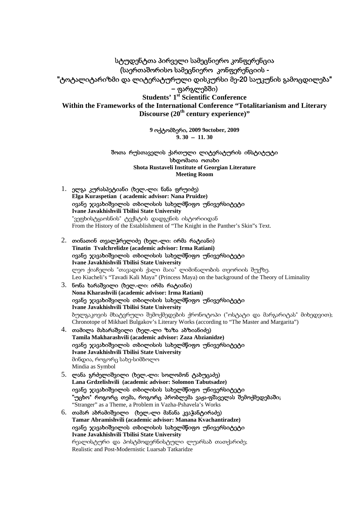სტუდენტთა პირველი სამეცნიერო კონფერენცია (საერთაშორისო სამეცნიერო კონფერენციის - "ტოტალიტარიზმი და ლიტერატურული დისკურსი მე-20 საუკუნის გამოცდილება" **–** ფარგლებში) **Students' 1st Scientific Conference Within the Frameworks of the International Conference "Totalitarianism and Literary Discourse (20th century experience)"**

> **9** ოქტომბერი**, 2009 9october, 2009**  $\overline{9}$ . 30 – 11. 30

შოთა რუსთაველის ქართული ლიტერატურის ინსტიტუტი სხდომათა ოთახი **Shota Rustaveli Institute of Georgian Literature Meeting Room**

- 1. ელგა კურასპეტიანი (ხელ.-ლი: ნანა ფრუიძე) **Elga Kuraspetian ( academic advisor: Nana Pruidze)**  ივანე ჯავახიშვილის თბილისის სახელმწიფო უნივერსიტეტი **Ivane Javakhishvili Tbilisi State University**  "ვეფხისტყაოსნის" ტექსტის დადგენის ისტორიიდან From the History of the Establishment of "The Knight in the Panther's Skin"s Text.
- 2. თინათინ თვალჭრელიძე (ხელ.-ლი: ირმა რატიანი) **Tinatin Tvalchrelidze (academic advisor: Irma Ratiani)**  ივანე ჯავახიშვილის თბილისის სახელმწიფო უნივერსიტეტი **Ivane Javakhishvili Tbilisi State University**  ლეო ქიაჩელის "თავადის ქალი მაია" ლიმინალობის თეორიის შუქზე. Leo Kiacheli's "Tavadi Kali Maya" (Princess Maya) on the background of the Theory of Liminality 3. ნონა ხარაშვილი (ხელ.-ლი: ირმა რატიანი)
- **Nona Kharashvili (academic advisor: Irma Ratiani)**  ივანე ჯავახიშვილის თბილისის სახელმწიფო უნივერსიტეტი **Ivane Javakhishvili Tbilisi State University**  ბულგაკოვის მხატვრული შემოქმედების ქრონოტოპი ("ოსტატი და მარგარიტას" მიხედვით); Chronotope of Mikhael Bulgakov's Literary Works (according to "The Master and Margarita")
- 4. თამილა მახარაშვილი (ხელ.-ლი ზაზა აბზიანიძე) **Tamila Makharashvili (academic advisor: Zaza Abzianidze)**  ივანე ჯავახიშვილის თბილისის სახელმწიფო უნივერსიტეტი **Ivane Javakhishvili Tbilisi State University**  მინდია, როგორც სახე-სიმბოლო Mindia as Symbol
- 5. ლანა გრძელიშვილი (ხელ.-ლი: სოლომონ ტაბუცაძე) **Lana Grdzelishvili (academic advisor: Solomon Tabutsadze)**  ივანე ჯავახიშვილის თბილისის სახელმწიფო უნივერსიტეტი "უცხო" როგორც თემა, როგორც პრობლემა ვაჟა-ფშაველას შემოქმედებაში; "Stranger" as a Theme, a Problem in Vazha-Pshavela's Works
- 6. თამარ აბრამიშვილი (ხელ.-ლი მანანა კვაჭანტირაძე) **Tamar Abramishvili (academic advisor: Manana Kvachantiradze)**  ივანე ჯავახიშვილის თბილისის სახელმწიფო უნივერსიტეტი **Ivane Javakhishvili Tbilisi State University** რეალისტური და პოსტმოდერნისტული ლუარსაბ თათქარიძე; Realistic and Post-Modernistic Luarsab Tatkaridze